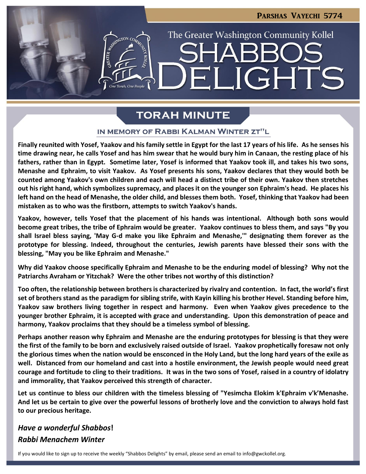**LIGHTS** 

The Greater Washington Community Kollel

# **TORAH MINUTE**

 $\blacksquare$ 

#### IN MEMORY OF RABBI KALMAN WINTER ZT"L

**Finally reunited with Yosef, Yaakov and his family settle in Egypt for the last 17 years of his life. As he senses his time drawing near, he calls Yosef and has him swear that he would bury him in Canaan, the resting place of his fathers, rather than in Egypt. Sometime later, Yosef is informed that Yaakov took ill, and takes his two sons, Menashe and Ephraim, to visit Yaakov. As Yosef presents his sons, Yaakov declares that they would both be counted among Yaakov's own children and each will head a distinct tribe of their own. Yaakov then stretches out his right hand, which symbolizes supremacy, and places it on the younger son Ephraim's head. He places his left hand on the head of Menashe, the older child, and blesses them both. Yosef, thinking that Yaakov had been mistaken as to who was the firstborn, attempts to switch Yaakov's hands.**

**Yaakov, however, tells Yosef that the placement of his hands was intentional. Although both sons would become great tribes, the tribe of Ephraim would be greater. Yaakov continues to bless them, and says "By you shall Israel bless saying, 'May G-d make you like Ephraim and Menashe,'" designating them forever as the prototype for blessing. Indeed, throughout the centuries, Jewish parents have blessed their sons with the blessing, "May you be like Ephraim and Menashe."**

**Why did Yaakov choose specifically Ephraim and Menashe to be the enduring model of blessing? Why not the Patriarchs Avraham or Yitzchak? Were the other tribes not worthy of this distinction?** 

**Too often, the relationship between brothers is characterized by rivalry and contention. In fact, the world's first set of brothers stand as the paradigm for sibling strife, with Kayin killing his brother Hevel. Standing before him, Yaakov saw brothers living together in respect and harmony. Even when Yaakov gives precedence to the younger brother Ephraim, it is accepted with grace and understanding. Upon this demonstration of peace and harmony, Yaakov proclaims that they should be a timeless symbol of blessing.**

**Perhaps another reason why Ephraim and Menashe are the enduring prototypes for blessing is that they were the first of the family to be born and exclusively raised outside of Israel. Yaakov prophetically foresaw not only the glorious times when the nation would be ensconced in the Holy Land, but the long hard years of the exile as well. Distanced from our homeland and cast into a hostile environment, the Jewish people would need great courage and fortitude to cling to their traditions. It was in the two sons of Yosef, raised in a country of idolatry and immorality, that Yaakov perceived this strength of character.** 

**Let us continue to bless our children with the timeless blessing of "Yesimcha Elokim k'Ephraim v'k'Menashe. And let us be certain to give over the powerful lessons of brotherly love and the conviction to always hold fast to our precious heritage.**

## *Have a wonderful Shabbos***!** *Rabbi Menachem Winter*

If you would like to sign up to receive the weekly "Shabbos Delights" by email, please send an email to [info@gwckollel.org](mailto:info@gwckollel.org).